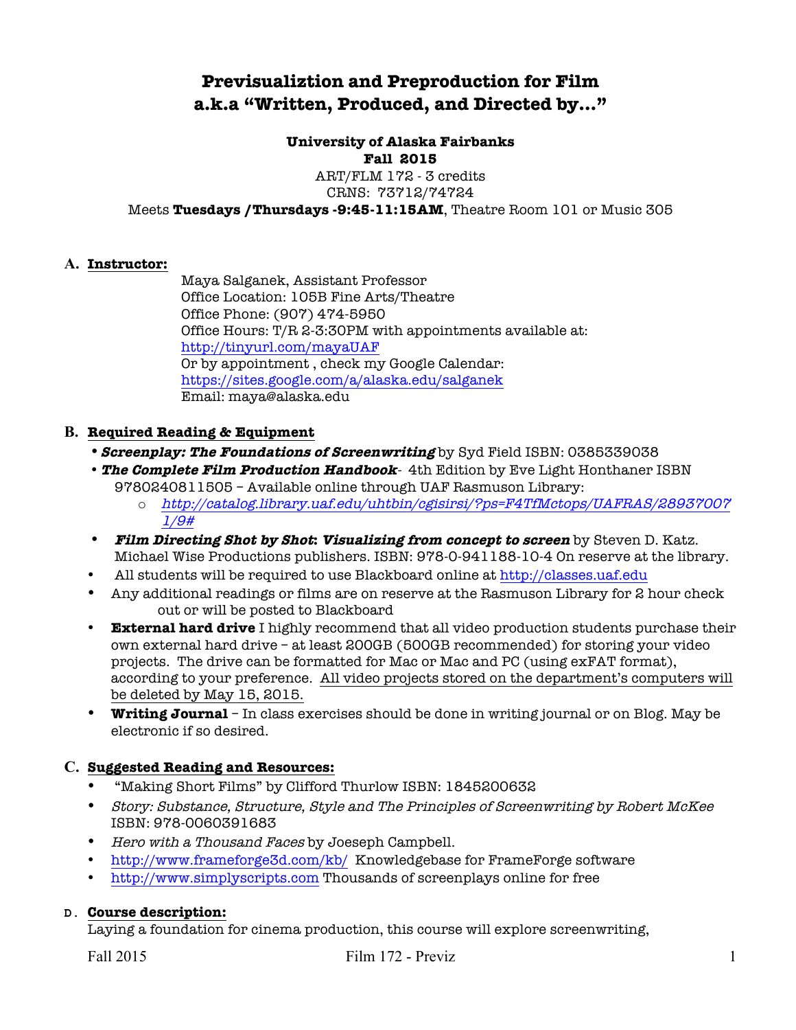# **Previsualiztion and Preproduction for Film a.k.a "Written, Produced, and Directed by…"**

# **University of Alaska Fairbanks**

#### **Fall 2015**

ART/FLM 172 - 3 credits CRNS: 73712/74724

Meets **Tuesdays /Thursdays -9:45-11:15AM**, Theatre Room 101 or Music 305

#### **A. Instructor:**

Maya Salganek, Assistant Professor Office Location: 105B Fine Arts/Theatre Office Phone: (907) 474-5950 Office Hours: T/R 2-3:30PM with appointments available at: http://tinyurl.com/mayaUAF Or by appointment , check my Google Calendar: https://sites.google.com/a/alaska.edu/salganek Email: maya@alaska.edu

# **B. Required Reading & Equipment**

- **Screenplay: The Foundations of Screenwriting** by Syd Field ISBN: 0385339038
- **The Complete Film Production Handbook** 4th Edition by Eve Light Honthaner ISBN 9780240811505 – Available online through UAF Rasmuson Library:
	- o http://catalog.library.uaf.edu/uhtbin/cgisirsi/?ps=F4TfMctops/UAFRAS/28937007 1/9#
- **Film Directing Shot by Shot: Visualizing from concept to screen** by Steven D. Katz. Michael Wise Productions publishers. ISBN: 978-0-941188-10-4 On reserve at the library.
- All students will be required to use Blackboard online at http://classes.uaf.edu
- Any additional readings or films are on reserve at the Rasmuson Library for 2 hour check out or will be posted to Blackboard
- **External hard drive** I highly recommend that all video production students purchase their own external hard drive – at least 200GB (500GB recommended) for storing your video projects. The drive can be formatted for Mac or Mac and PC (using exFAT format), according to your preference. All video projects stored on the department's computers will be deleted by May 15, 2015.
- **Writing Journal** In class exercises should be done in writing journal or on Blog. May be electronic if so desired.

# **C. Suggested Reading and Resources:**

- "Making Short Films" by Clifford Thurlow ISBN: 1845200632
- Story: Substance, Structure, Style and The Principles of Screenwriting by Robert McKee ISBN: 978-0060391683
- Hero with a Thousand Faces by Joeseph Campbell.
- http://www.frameforge3d.com/kb/ Knowledgebase for FrameForge software
- http://www.simplyscripts.com Thousands of screenplays online for free

# **D. Course description:**

Laying a foundation for cinema production, this course will explore screenwriting,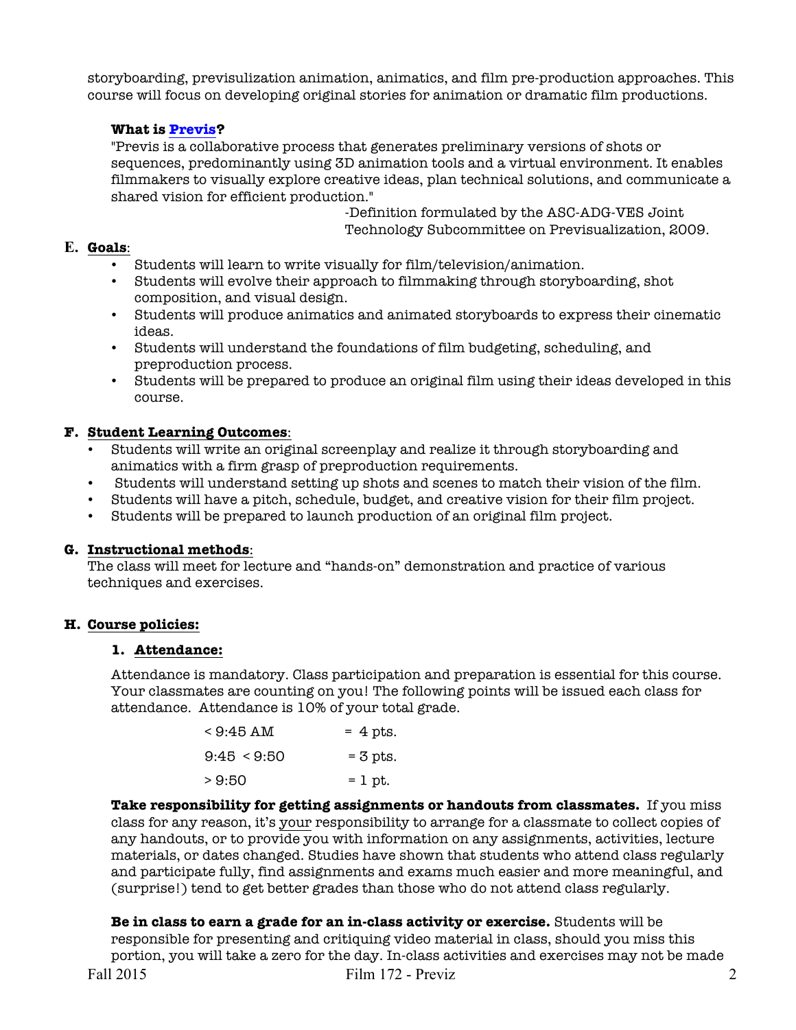storyboarding, previsulization animation, animatics, and film pre-production approaches. This course will focus on developing original stories for animation or dramatic film productions.

### **What is Previs?**

"Previs is a collaborative process that generates preliminary versions of shots or sequences, predominantly using 3D animation tools and a virtual environment. It enables filmmakers to visually explore creative ideas, plan technical solutions, and communicate a shared vision for efficient production."

-Definition formulated by the ASC-ADG-VES Joint Technology Subcommittee on Previsualization, 2009.

### **E. Goals**:

- Students will learn to write visually for film/television/animation.
- Students will evolve their approach to filmmaking through storyboarding, shot composition, and visual design.
- Students will produce animatics and animated storyboards to express their cinematic ideas.
- Students will understand the foundations of film budgeting, scheduling, and preproduction process.
- Students will be prepared to produce an original film using their ideas developed in this course.

# **F. Student Learning Outcomes**:

- Students will write an original screenplay and realize it through storyboarding and animatics with a firm grasp of preproduction requirements.
- Students will understand setting up shots and scenes to match their vision of the film.
- Students will have a pitch, schedule, budget, and creative vision for their film project.
- Students will be prepared to launch production of an original film project.

#### **G. Instructional methods**:

The class will meet for lecture and "hands-on" demonstration and practice of various techniques and exercises.

#### **H. Course policies:**

#### **1. Attendance:**

Attendance is mandatory. Class participation and preparation is essential for this course. Your classmates are counting on you! The following points will be issued each class for attendance. Attendance is 10% of your total grade.

| < 9:45 AM   | $= 4$ pts. |
|-------------|------------|
| 9:45 < 9:50 | $=$ 3 pts. |
| >9:50       | $= 1$ pt.  |

**Take responsibility for getting assignments or handouts from classmates.** If you miss class for any reason, it's your responsibility to arrange for a classmate to collect copies of any handouts, or to provide you with information on any assignments, activities, lecture materials, or dates changed. Studies have shown that students who attend class regularly and participate fully, find assignments and exams much easier and more meaningful, and (surprise!) tend to get better grades than those who do not attend class regularly.

Fall 2015 **Film 172 - Previz** 2 **Be in class to earn a grade for an in-class activity or exercise.** Students will be responsible for presenting and critiquing video material in class, should you miss this portion, you will take a zero for the day. In-class activities and exercises may not be made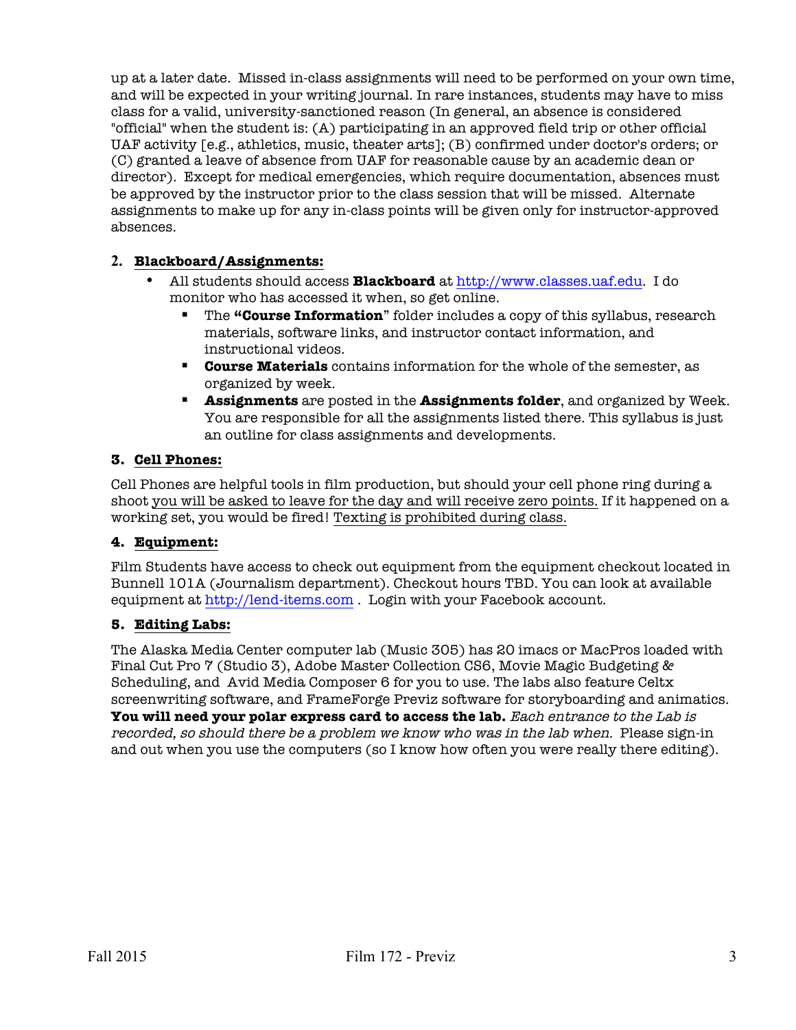up at a later date. Missed in-class assignments will need to be performed on your own time, and will be expected in your writing journal. In rare instances, students may have to miss class for a valid, university-sanctioned reason (In general, an absence is considered "official" when the student is: (A) participating in an approved field trip or other official UAF activity [e.g., athletics, music, theater arts]; (B) confirmed under doctor's orders; or (C) granted a leave of absence from UAF for reasonable cause by an academic dean or director). Except for medical emergencies, which require documentation, absences must be approved by the instructor prior to the class session that will be missed. Alternate assignments to make up for any in-class points will be given only for instructor-approved absences.

# **2. Blackboard/Assignments:**

- All students should access **Blackboard** at http://www.classes.uaf.edu. I do monitor who has accessed it when, so get online.
	- § The **"Course Information**" folder includes a copy of this syllabus, research materials, software links, and instructor contact information, and instructional videos.
	- § **Course Materials** contains information for the whole of the semester, as organized by week.
	- § **Assignments** are posted in the **Assignments folder**, and organized by Week. You are responsible for all the assignments listed there. This syllabus is just an outline for class assignments and developments.

#### **3. Cell Phones:**

Cell Phones are helpful tools in film production, but should your cell phone ring during a shoot you will be asked to leave for the day and will receive zero points. If it happened on a working set, you would be fired! Texting is prohibited during class.

#### **4. Equipment:**

Film Students have access to check out equipment from the equipment checkout located in Bunnell 101A (Journalism department). Checkout hours TBD. You can look at available equipment at http://lend-items.com . Login with your Facebook account.

#### **5. Editing Labs:**

The Alaska Media Center computer lab (Music 305) has 20 imacs or MacPros loaded with Final Cut Pro 7 (Studio 3), Adobe Master Collection CS6, Movie Magic Budgeting & Scheduling, and Avid Media Composer 6 for you to use. The labs also feature Celtx screenwriting software, and FrameForge Previz software for storyboarding and animatics. **You will need your polar express card to access the lab.** Each entrance to the Lab is recorded, so should there be a problem we know who was in the lab when. Please sign-in and out when you use the computers (so I know how often you were really there editing).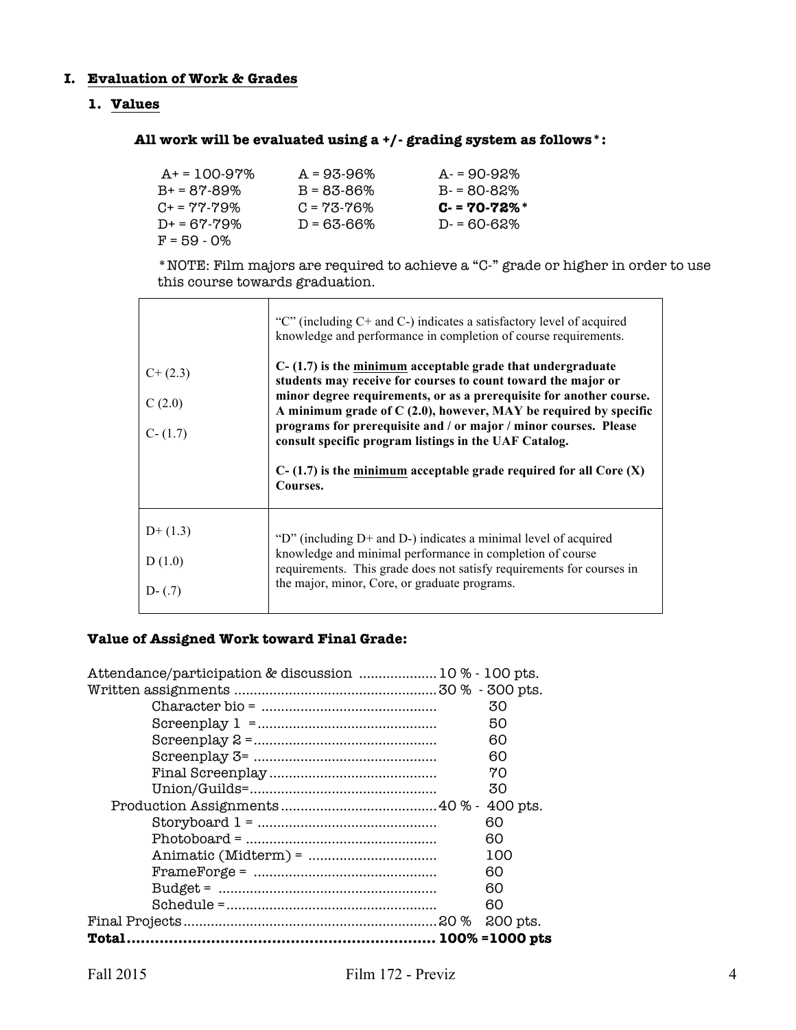#### **I. Evaluation of Work & Grades**

#### **1. Values**

# **All work will be evaluated using a +/- grading system as follows\*:**

| $A+ = 100-97\%$     | $A = 93-96%$    | $A = 90 - 92\%$ |
|---------------------|-----------------|-----------------|
| $B+ = 87-89%$       | $B = 83 - 86%$  | $B - 80 - 82\%$ |
| $C_{+} = 77 - 79\%$ | $C = 73 - 76\%$ | $C - 70 - 72\%$ |
| $D+ = 67 - 79%$     | D = 63-66%      | $D = 60 - 62\%$ |
| $F = 59 - 0\%$      |                 |                 |

\*NOTE: Film majors are required to achieve a "C-" grade or higher in order to use this course towards graduation.

| $C+(2.3)$<br>C(2.0)<br>$C - (1.7)$ | "C" (including C+ and C-) indicates a satisfactory level of acquired<br>knowledge and performance in completion of course requirements.<br>$C-(1.7)$ is the minimum acceptable grade that undergraduate<br>students may receive for courses to count toward the major or<br>minor degree requirements, or as a prerequisite for another course.<br>A minimum grade of $C(2.0)$ , however, MAY be required by specific<br>programs for prerequisite and / or major / minor courses. Please<br>consult specific program listings in the UAF Catalog.<br>$C-(1.7)$ is the minimum acceptable grade required for all Core $(X)$<br>Courses. |
|------------------------------------|-----------------------------------------------------------------------------------------------------------------------------------------------------------------------------------------------------------------------------------------------------------------------------------------------------------------------------------------------------------------------------------------------------------------------------------------------------------------------------------------------------------------------------------------------------------------------------------------------------------------------------------------|
| $D+(1.3)$<br>D(1.0)<br>$D-(.7)$    | "D" (including $D+$ and $D-$ ) indicates a minimal level of acquired<br>knowledge and minimal performance in completion of course<br>requirements. This grade does not satisfy requirements for courses in<br>the major, minor, Core, or graduate programs.                                                                                                                                                                                                                                                                                                                                                                             |

# **Value of Assigned Work toward Final Grade:**

| Attendance/participation & discussion  10 % - 100 pts.                                                                                                                                                                                                                                                                                                                                                                                                                                                             |          |
|--------------------------------------------------------------------------------------------------------------------------------------------------------------------------------------------------------------------------------------------------------------------------------------------------------------------------------------------------------------------------------------------------------------------------------------------------------------------------------------------------------------------|----------|
|                                                                                                                                                                                                                                                                                                                                                                                                                                                                                                                    |          |
|                                                                                                                                                                                                                                                                                                                                                                                                                                                                                                                    | 30       |
|                                                                                                                                                                                                                                                                                                                                                                                                                                                                                                                    | 50       |
|                                                                                                                                                                                                                                                                                                                                                                                                                                                                                                                    | 60       |
|                                                                                                                                                                                                                                                                                                                                                                                                                                                                                                                    | 60       |
|                                                                                                                                                                                                                                                                                                                                                                                                                                                                                                                    | 70       |
|                                                                                                                                                                                                                                                                                                                                                                                                                                                                                                                    | 30       |
|                                                                                                                                                                                                                                                                                                                                                                                                                                                                                                                    |          |
|                                                                                                                                                                                                                                                                                                                                                                                                                                                                                                                    | 60       |
| $Photoboard = 1$                                                                                                                                                                                                                                                                                                                                                                                                                                                                                                   | 60       |
|                                                                                                                                                                                                                                                                                                                                                                                                                                                                                                                    | 100      |
|                                                                                                                                                                                                                                                                                                                                                                                                                                                                                                                    | 60       |
|                                                                                                                                                                                                                                                                                                                                                                                                                                                                                                                    | 60       |
| $\textbf{Schedule} = \textcolor{red}{\textbf{}} \textcolor{red}{\textbf{}} \textcolor{red}{\textbf{}} \textcolor{red}{\textbf{}} \textcolor{red}{\textbf{}} \textcolor{red}{\textbf{}} \textcolor{red}{\textbf{}} \textcolor{red}{\textbf{}} \textcolor{red}{\textbf{}} \textcolor{red}{\textbf{}} \textcolor{red}{\textbf{}} \textcolor{red}{\textbf{}} \textcolor{red}{\textbf{}} \textcolor{red}{\textbf{}} \textcolor{red}{\textbf{}} \textcolor{red}{\textbf{}} \textcolor{red}{\textbf{}} \textcolor{red}{\$ | 60       |
|                                                                                                                                                                                                                                                                                                                                                                                                                                                                                                                    | 200 pts. |
| Total.                                                                                                                                                                                                                                                                                                                                                                                                                                                                                                             |          |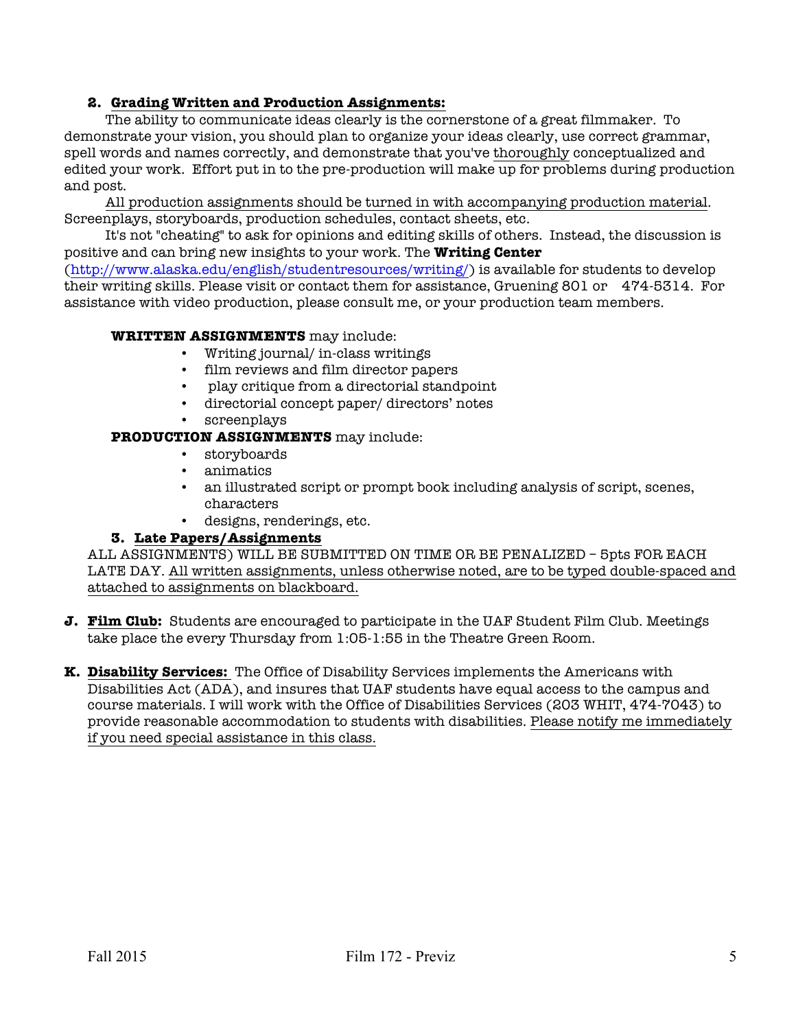# **2. Grading Written and Production Assignments:**

The ability to communicate ideas clearly is the cornerstone of a great filmmaker. To demonstrate your vision, you should plan to organize your ideas clearly, use correct grammar, spell words and names correctly, and demonstrate that you've thoroughly conceptualized and edited your work. Effort put in to the pre-production will make up for problems during production and post.

All production assignments should be turned in with accompanying production material. Screenplays, storyboards, production schedules, contact sheets, etc.

It's not "cheating" to ask for opinions and editing skills of others. Instead, the discussion is positive and can bring new insights to your work. The **Writing Center**

(http://www.alaska.edu/english/studentresources/writing/) is available for students to develop their writing skills. Please visit or contact them for assistance, Gruening 801 or 474-5314. For assistance with video production, please consult me, or your production team members.

#### **WRITTEN ASSIGNMENTS** may include:

- Writing journal/ in-class writings
- film reviews and film director papers
- play critique from a directorial standpoint
- directorial concept paper/ directors' notes
- screenplays

#### **PRODUCTION ASSIGNMENTS** may include:

- storyboards
- animatics
- an illustrated script or prompt book including analysis of script, scenes, characters
- designs, renderings, etc.

#### **3. Late Papers/Assignments**

ALL ASSIGNMENTS) WILL BE SUBMITTED ON TIME OR BE PENALIZED – 5pts FOR EACH LATE DAY. All written assignments, unless otherwise noted, are to be typed double-spaced and attached to assignments on blackboard.

- **J. Film Club:** Students are encouraged to participate in the UAF Student Film Club. Meetings take place the every Thursday from 1:05-1:55 in the Theatre Green Room.
- **K. Disability Services:** The Office of Disability Services implements the Americans with Disabilities Act (ADA), and insures that UAF students have equal access to the campus and course materials. I will work with the Office of Disabilities Services (203 WHIT, 474-7043) to provide reasonable accommodation to students with disabilities. Please notify me immediately if you need special assistance in this class.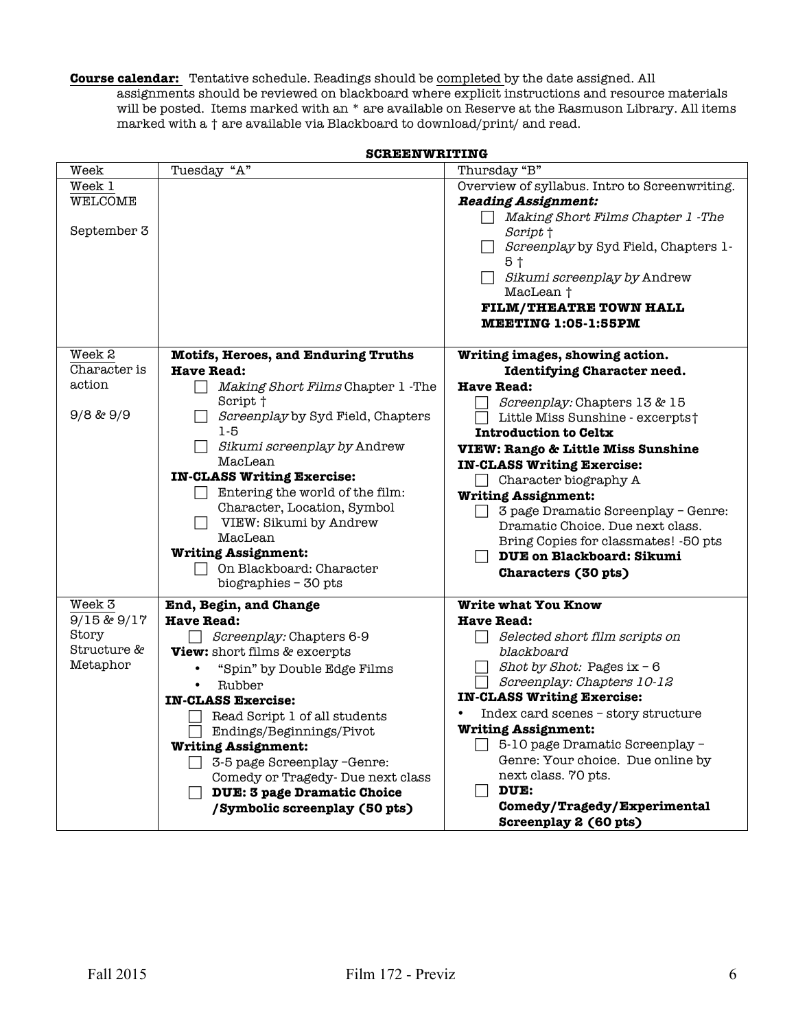**Course calendar:** Tentative schedule. Readings should be completed by the date assigned. All assignments should be reviewed on blackboard where explicit instructions and resource materials will be posted. Items marked with an \* are available on Reserve at the Rasmuson Library. All items marked with a † are available via Blackboard to download/print/ and read.

|                      | Tuesday "A"                                  |                                                     |
|----------------------|----------------------------------------------|-----------------------------------------------------|
| Week                 |                                              | Thursday "B"                                        |
| Week 1               |                                              | Overview of syllabus. Intro to Screenwriting.       |
| WELCOME              |                                              | <b>Reading Assignment:</b>                          |
|                      |                                              | Making Short Films Chapter 1 - The                  |
| September 3          |                                              | Script †                                            |
|                      |                                              | Screenplay by Syd Field, Chapters 1-                |
|                      |                                              | 5†                                                  |
|                      |                                              | Sikumi screenplay by Andrew                         |
|                      |                                              | MacLean †                                           |
|                      |                                              | <b>FILM/THEATRE TOWN HALL</b>                       |
|                      |                                              | <b>MEETING 1:05-1:55PM</b>                          |
|                      |                                              |                                                     |
| Week 2               | <b>Motifs, Heroes, and Enduring Truths</b>   | Writing images, showing action.                     |
| Character is         | <b>Have Read:</b>                            | <b>Identifying Character need.</b>                  |
| action               | Making Short Films Chapter 1 - The<br>$\Box$ | <b>Have Read:</b>                                   |
|                      |                                              |                                                     |
| $9/8$ & $9/9$        | Script †                                     | Screenplay: Chapters 13 & 15                        |
|                      | Screenplay by Syd Field, Chapters            | Little Miss Sunshine - excerpts†                    |
|                      | $1-5$                                        | <b>Introduction to Celtx</b>                        |
|                      | Sikumi screenplay by Andrew                  | <b>VIEW: Rango &amp; Little Miss Sunshine</b>       |
|                      | MacLean                                      | <b>IN-CLASS Writing Exercise:</b>                   |
|                      | <b>IN-CLASS Writing Exercise:</b>            | Character biography A                               |
|                      | Entering the world of the film:              | <b>Writing Assignment:</b>                          |
|                      | Character, Location, Symbol                  | 3 page Dramatic Screenplay - Genre:<br>$\Box$       |
|                      | VIEW: Sikumi by Andrew                       | Dramatic Choice. Due next class.                    |
|                      | MacLean                                      | Bring Copies for classmates! -50 pts                |
|                      | <b>Writing Assignment:</b>                   | <b>DUE on Blackboard: Sikumi</b>                    |
|                      | On Blackboard: Character                     | Characters (30 pts)                                 |
|                      | biographies - 30 pts                         |                                                     |
| Week <sub>3</sub>    | End, Begin, and Change                       | <b>Write what You Know</b>                          |
| 9/15 & 9/17          |                                              |                                                     |
|                      | <b>Have Read:</b>                            | <b>Have Read:</b>                                   |
| Story<br>Structure & | Screenplay: Chapters 6-9                     | Selected short film scripts on<br>$\vert \ \ \vert$ |
|                      | <b>View:</b> short films & excerpts          | blackboard                                          |
| Metaphor             | "Spin" by Double Edge Films                  | Shot by Shot: Pages $ix - 6$                        |
|                      | Rubber                                       | Screenplay: Chapters 10-12                          |
|                      | <b>IN-CLASS Exercise:</b>                    | <b>IN-CLASS Writing Exercise:</b>                   |
|                      | Read Script 1 of all students                | Index card scenes - story structure                 |
|                      | Endings/Beginnings/Pivot                     | <b>Writing Assignment:</b>                          |
|                      | <b>Writing Assignment:</b>                   | 5-10 page Dramatic Screenplay -<br>$\Box$           |
|                      | 3-5 page Screenplay -Genre:                  | Genre: Your choice. Due online by                   |
|                      | Comedy or Tragedy- Due next class            | next class. 70 pts.                                 |
|                      | <b>DUE: 3 page Dramatic Choice</b>           | DUE:<br>$\blacksquare$                              |
|                      | /Symbolic screenplay (50 pts)                | Comedy/Tragedy/Experimental                         |
|                      |                                              | Screenplay 2 (60 pts)                               |

**SCREENWRITING**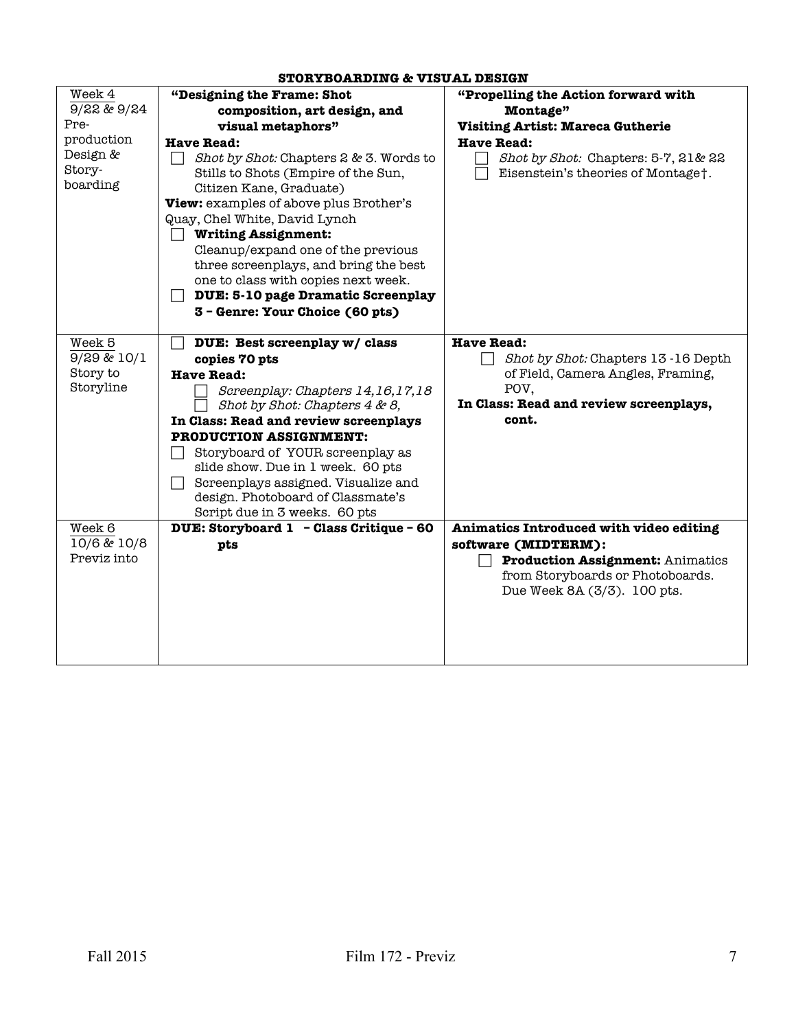#### Week 4 9/22 & 9/24 Preproduction Design & Storyboarding **"Designing the Frame: Shot composition, art design, and visual metaphors" Have Read:**   $\Box$  Shot by Shot: Chapters 2 & 3. Words to Stills to Shots (Empire of the Sun, Citizen Kane, Graduate) **View:** examples of above plus Brother's Quay, Chel White, David Lynch **Writing Assignment:**  Cleanup/expand one of the previous three screenplays, and bring the best one to class with copies next week. **DUE: 5-10 page Dramatic Screenplay 3 – Genre: Your Choice (60 pts) "Propelling the Action forward with Montage" Visiting Artist: Mareca Gutherie Have Read:** Shot by Shot: Chapters: 5-7, 21& 22 Eisenstein's theories of Montage†. Week 5 9/29 & 10/1 Story to Storyline **DUE: Best screenplay w/ class copies 70 pts Have Read:**  Screenplay: Chapters 14,16,17,18 Shot by Shot: Chapters 4 & 8, **In Class: Read and review screenplays PRODUCTION ASSIGNMENT:** Storyboard of YOUR screenplay as slide show. Due in 1 week. 60 pts Screenplays assigned. Visualize and design. Photoboard of Classmate's Script due in 3 weeks. 60 pts **Have Read:**  Shot by Shot: Chapters 13-16 Depth of Field, Camera Angles, Framing, POV, **In Class: Read and review screenplays, cont.**  Week 6 10/6 & 10/8 Previz into **DUE: Storyboard 1 – Class Critique – 60 pts Animatics Introduced with video editing software (MIDTERM): Production Assignment:** Animatics from Storyboards or Photoboards. Due Week 8A (3/3). 100 pts.

#### **STORYBOARDING & VISUAL DESIGN**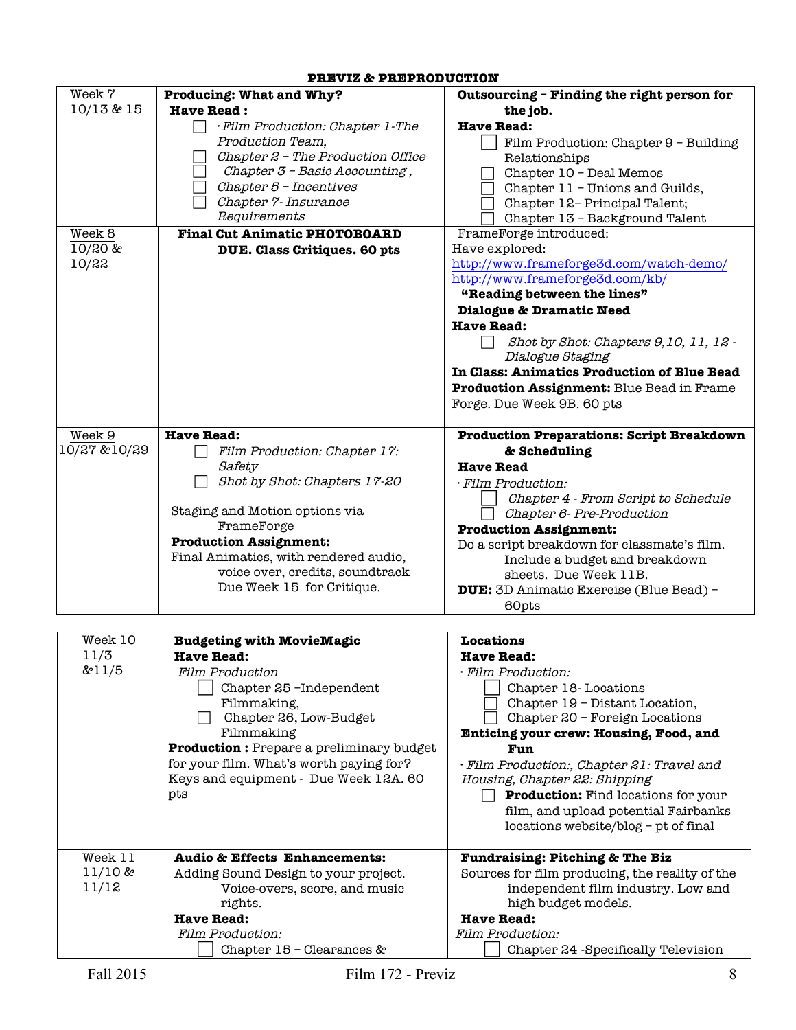| Week 7            | Producing: What and Why?                                              | Outsourcing - Finding the right person for                                           |
|-------------------|-----------------------------------------------------------------------|--------------------------------------------------------------------------------------|
| 10/13&15          | <b>Have Read:</b>                                                     | the job.                                                                             |
|                   | · Film Production: Chapter 1-The                                      | <b>Have Read:</b>                                                                    |
|                   | Production Team,                                                      | Film Production: Chapter 9 - Building                                                |
|                   | Chapter $2$ - The Production Office                                   | Relationships                                                                        |
|                   | Chapter 3 - Basic Accounting,                                         | Chapter 10 - Deal Memos                                                              |
|                   | Chapter 5 - Incentives                                                | Chapter 11 - Unions and Guilds,                                                      |
|                   | Chapter 7- Insurance                                                  | Chapter 12- Principal Talent;                                                        |
|                   | Requirements                                                          | Chapter 13 - Background Talent                                                       |
| Week 8            | <b>Final Cut Animatic PHOTOBOARD</b>                                  | FrameForge introduced:                                                               |
| 10/20 &<br>10/22  | DUE. Class Critiques. 60 pts                                          | Have explored:<br>http://www.frameforge3d.com/watch-demo/                            |
|                   |                                                                       | http://www.frameforge3d.com/kb/                                                      |
|                   |                                                                       | "Reading between the lines"                                                          |
|                   |                                                                       | Dialogue & Dramatic Need                                                             |
|                   |                                                                       | <b>Have Read:</b>                                                                    |
|                   |                                                                       | Shot by Shot: Chapters 9,10, 11, 12 -                                                |
|                   |                                                                       | Dialogue Staging                                                                     |
|                   |                                                                       | In Class: Animatics Production of Blue Bead                                          |
|                   |                                                                       | Production Assignment: Blue Bead in Frame                                            |
|                   |                                                                       | Forge. Due Week 9B. 60 pts                                                           |
|                   |                                                                       |                                                                                      |
| Week 9            | <b>Have Read:</b>                                                     | <b>Production Preparations: Script Breakdown</b>                                     |
| 10/27 &10/29      | Film Production: Chapter 17:                                          | & Scheduling                                                                         |
|                   | Safety                                                                | <b>Have Read</b>                                                                     |
|                   | Shot by Shot: Chapters 17-20                                          | · Film Production:                                                                   |
|                   |                                                                       | Chapter 4 - From Script to Schedule                                                  |
|                   | Staging and Motion options via                                        | Chapter 6- Pre-Production                                                            |
|                   | FrameForge<br><b>Production Assignment:</b>                           | <b>Production Assignment:</b>                                                        |
|                   | Final Animatics, with rendered audio,                                 | Do a script breakdown for classmate's film.                                          |
|                   | voice over, credits, soundtrack                                       | Include a budget and breakdown                                                       |
|                   | Due Week 15 for Critique.                                             | sheets. Due Week 11B.<br><b>DUE:</b> 3D Animatic Exercise (Blue Bead) -              |
|                   |                                                                       | 60pts                                                                                |
|                   |                                                                       |                                                                                      |
| Week 10           | <b>Budgeting with MovieMagic</b>                                      | <b>Locations</b>                                                                     |
| 11/3              | <b>Have Read:</b>                                                     | <b>Have Read:</b>                                                                    |
| & 11/5            | <b>Film Production</b>                                                | · Film Production:                                                                   |
|                   | Chapter 25-Independent                                                | Chapter 18-Locations                                                                 |
|                   | Filmmaking,                                                           | Chapter 19 - Distant Location,                                                       |
|                   | Chapter 26, Low-Budget                                                | Chapter 20 - Foreign Locations                                                       |
|                   | Filmmaking                                                            | Enticing your crew: Housing, Food, and                                               |
|                   | <b>Production:</b> Prepare a preliminary budget                       | Fun                                                                                  |
|                   | for your film. What's worth paying for?                               | · Film Production:, Chapter 21: Travel and                                           |
|                   | Keys and equipment - Due Week 12A. 60                                 | Housing, Chapter 22: Shipping                                                        |
|                   | pts                                                                   | <b>Production:</b> Find locations for your                                           |
|                   |                                                                       | film, and upload potential Fairbanks                                                 |
|                   |                                                                       | locations website/blog - pt of final                                                 |
|                   |                                                                       |                                                                                      |
| Week 11<br>11/10& | <b>Audio &amp; Effects Enhancements:</b>                              | <b>Fundraising: Pitching &amp; The Biz</b>                                           |
| 11/12             | Adding Sound Design to your project.<br>Voice-overs, score, and music | Sources for film producing, the reality of the<br>independent film industry. Low and |
|                   | rights.                                                               | high budget models.                                                                  |
|                   | <b>Have Read:</b>                                                     | <b>Have Read:</b>                                                                    |

#### **PREVIZ & PREPRODUCTION**

Film Production:

Chapter 15 – Clearances &

Film Production:

Chapter 24 -Specifically Television